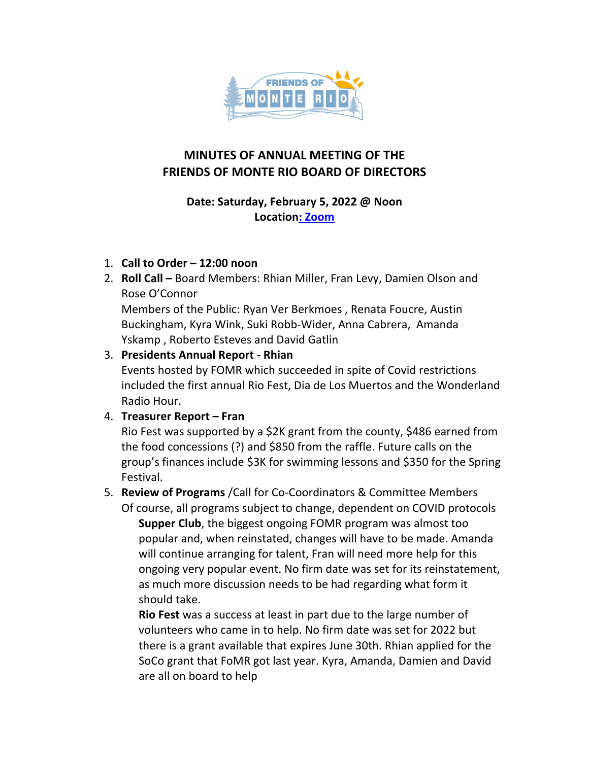

# **MINUTES OF ANNUAL MEETING OF THE FRIENDS OF MONTE RIO BOARD OF DIRECTORS**

#### **Date: Saturday, February 5, 2022 @ Noon Location: Zoom**

#### 1. **Call to Order – 12:00 noon**

2. **Roll Call** – Board Members: Rhian Miller, Fran Levy, Damien Olson and Rose O'Connor

Members of the Public: Ryan Ver Berkmoes, Renata Foucre, Austin Buckingham, Kyra Wink, Suki Robb-Wider, Anna Cabrera, Amanda Yskamp, Roberto Esteves and David Gatlin

## 3. **Presidents Annual Report - Rhian**

Events hosted by FOMR which succeeded in spite of Covid restrictions included the first annual Rio Fest, Dia de Los Muertos and the Wonderland Radio Hour.

## 4. **Treasurer Report – Fran**

Rio Fest was supported by a \$2K grant from the county, \$486 earned from the food concessions (?) and \$850 from the raffle. Future calls on the group's finances include \$3K for swimming lessons and \$350 for the Spring Festival.

# 5. **Review of Programs** /Call for Co-Coordinators & Committee Members

Of course, all programs subject to change, dependent on COVID protocols **Supper Club**, the biggest ongoing FOMR program was almost too popular and, when reinstated, changes will have to be made. Amanda will continue arranging for talent, Fran will need more help for this ongoing very popular event. No firm date was set for its reinstatement, as much more discussion needs to be had regarding what form it should take.

**Rio Fest** was a success at least in part due to the large number of volunteers who came in to help. No firm date was set for 2022 but there is a grant available that expires June 30th. Rhian applied for the SoCo grant that FoMR got last year. Kyra, Amanda, Damien and David are all on board to help